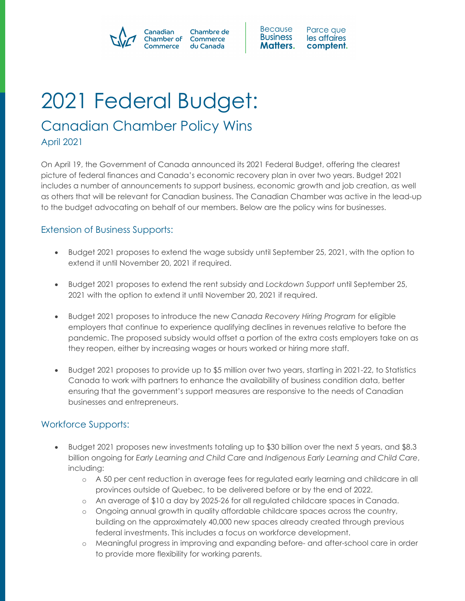#### Canadian Chambre de Chamber of Commerce ommerce du Canada



# 2021 Federal Budget:

## Canadian Chamber Policy Wins

April 2021

On April 19, the Government of Canada announced its 2021 Federal Budget, offering the clearest picture of federal finances and Canada's economic recovery plan in over two years. Budget 2021 includes a number of announcements to support business, economic growth and job creation, as well as others that will be relevant for Canadian business. The Canadian Chamber was active in the lead-up to the budget advocating on behalf of our members. Below are the policy wins for businesses.

### Extension of Business Supports:

- Budget 2021 proposes to extend the wage subsidy until September 25, 2021, with the option to extend it until November 20, 2021 if required.
- Budget 2021 proposes to extend the rent subsidy and *Lockdown Support* until September 25, 2021 with the option to extend it until November 20, 2021 if required.
- Budget 2021 proposes to introduce the new *Canada Recovery Hiring Program* for eligible employers that continue to experience qualifying declines in revenues relative to before the pandemic. The proposed subsidy would offset a portion of the extra costs employers take on as they reopen, either by increasing wages or hours worked or hiring more staff.
- Budget 2021 proposes to provide up to \$5 million over two years, starting in 2021-22, to Statistics Canada to work with partners to enhance the availability of business condition data, better ensuring that the government's support measures are responsive to the needs of Canadian businesses and entrepreneurs.

### Workforce Supports:

- Budget 2021 proposes new investments totaling up to \$30 billion over the next 5 years, and \$8.3 billion ongoing for *Early Learning and Child Care* and *Indigenous Early Learning and Child Care*, including:
	- o A 50 per cent reduction in average fees for regulated early learning and childcare in all provinces outside of Quebec, to be delivered before or by the end of 2022.
	- o An average of \$10 a day by 2025-26 for all regulated childcare spaces in Canada.
	- o Ongoing annual growth in quality affordable childcare spaces across the country, building on the approximately 40,000 new spaces already created through previous federal investments. This includes a focus on workforce development.
	- o Meaningful progress in improving and expanding before- and after-school care in order to provide more flexibility for working parents.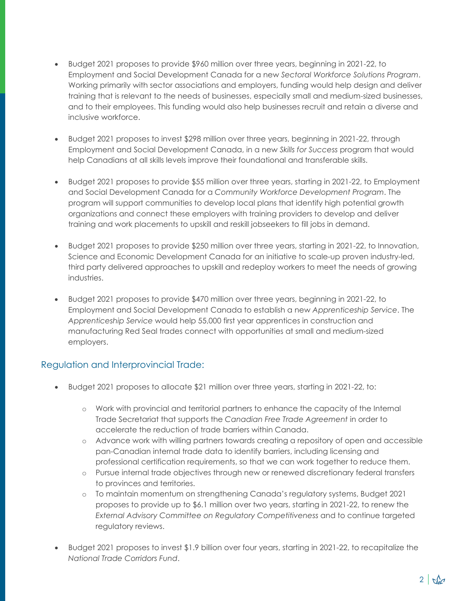- Budget 2021 proposes to provide \$960 million over three years, beginning in 2021-22, to Employment and Social Development Canada for a new *Sectoral Workforce Solutions Program*. Working primarily with sector associations and employers, funding would help design and deliver training that is relevant to the needs of businesses, especially small and medium-sized businesses, and to their employees. This funding would also help businesses recruit and retain a diverse and inclusive workforce.
- Budget 2021 proposes to invest \$298 million over three years, beginning in 2021-22, through Employment and Social Development Canada, in a new *Skills for Success* program that would help Canadians at all skills levels improve their foundational and transferable skills.
- Budget 2021 proposes to provide \$55 million over three years, starting in 2021-22, to Employment and Social Development Canada for a *Community Workforce Development Program*. The program will support communities to develop local plans that identify high potential growth organizations and connect these employers with training providers to develop and deliver training and work placements to upskill and reskill jobseekers to fill jobs in demand.
- Budget 2021 proposes to provide \$250 million over three years, starting in 2021-22, to Innovation, Science and Economic Development Canada for an initiative to scale-up proven industry-led, third party delivered approaches to upskill and redeploy workers to meet the needs of growing industries.
- Budget 2021 proposes to provide \$470 million over three years, beginning in 2021-22, to Employment and Social Development Canada to establish a new *Apprenticeship Service*. The *Apprenticeship Service* would help 55,000 first year apprentices in construction and manufacturing Red Seal trades connect with opportunities at small and medium-sized employers.

### Regulation and Interprovincial Trade:

- Budget 2021 proposes to allocate \$21 million over three years, starting in 2021-22, to:
	- o Work with provincial and territorial partners to enhance the capacity of the Internal Trade Secretariat that supports the *Canadian Free Trade Agreement* in order to accelerate the reduction of trade barriers within Canada.
	- o Advance work with willing partners towards creating a repository of open and accessible pan-Canadian internal trade data to identify barriers, including licensing and professional certification requirements, so that we can work together to reduce them.
	- o Pursue internal trade objectives through new or renewed discretionary federal transfers to provinces and territories.
	- o To maintain momentum on strengthening Canada's regulatory systems, Budget 2021 proposes to provide up to \$6.1 million over two years, starting in 2021-22, to renew the *External Advisory Committee on Regulatory Competitiveness* and to continue targeted regulatory reviews.
- Budget 2021 proposes to invest \$1.9 billion over four years, starting in 2021-22, to recapitalize the *National Trade Corridors Fund*.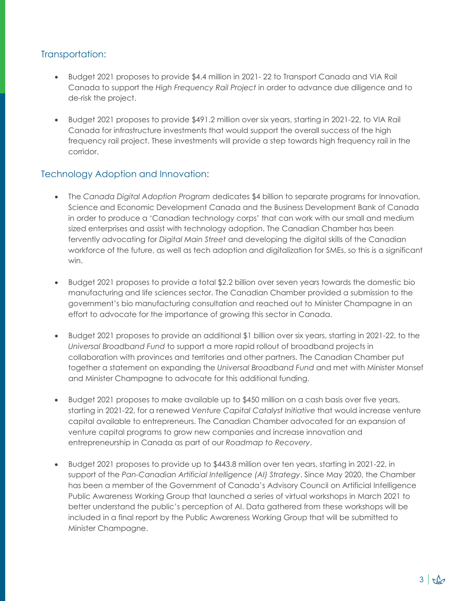#### Transportation:

- Budget 2021 proposes to provide \$4.4 million in 2021- 22 to Transport Canada and VIA Rail Canada to support the *High Frequency Rail Project* in order to advance due diligence and to de-risk the project.
- Budget 2021 proposes to provide \$491.2 million over six years, starting in 2021-22, to VIA Rail Canada for infrastructure investments that would support the overall success of the high frequency rail project. These investments will provide a step towards high frequency rail in the corridor.

#### Technology Adoption and Innovation:

- The *Canada Digital Adoption Program* dedicates \$4 billion to separate programs for Innovation, Science and Economic Development Canada and the Business Development Bank of Canada in order to produce a 'Canadian technology corps' that can work with our small and medium sized enterprises and assist with technology adoption. The Canadian Chamber has been fervently advocating for *Digital Main Street* and developing the digital skills of the Canadian workforce of the future, as well as tech adoption and digitalization for SMEs, so this is a significant win.
- Budget 2021 proposes to provide a total \$2.2 billion over seven years towards the domestic bio manufacturing and life sciences sector. The Canadian Chamber provided a submission to the government's bio manufacturing consultation and reached out to Minister Champagne in an effort to advocate for the importance of growing this sector in Canada.
- Budget 2021 proposes to provide an additional \$1 billion over six years, starting in 2021-22, to the *Universal Broadband Fund* to support a more rapid rollout of broadband projects in collaboration with provinces and territories and other partners. The Canadian Chamber put together a statement on expanding the *Universal Broadband Fund* and met with Minister Monsef and Minister Champagne to advocate for this additional funding.
- Budget 2021 proposes to make available up to \$450 million on a cash basis over five years, starting in 2021-22, for a renewed *Venture Capital Catalyst Initiative* that would increase venture capital available to entrepreneurs. The Canadian Chamber advocated for an expansion of venture capital programs to grow new companies and increase innovation and entrepreneurship in Canada as part of our *Roadmap to Recovery*.
- Budget 2021 proposes to provide up to \$443.8 million over ten years, starting in 2021-22, in support of the *Pan-Canadian Artificial Intelligence (AI) Strategy*. Since May 2020, the Chamber has been a member of the Government of Canada's Advisory Council on Artificial Intelligence Public Awareness Working Group that launched a series of virtual workshops in March 2021 to better understand the public's perception of AI. Data gathered from these workshops will be included in a final report by the Public Awareness Working Group that will be submitted to Minister Champagne.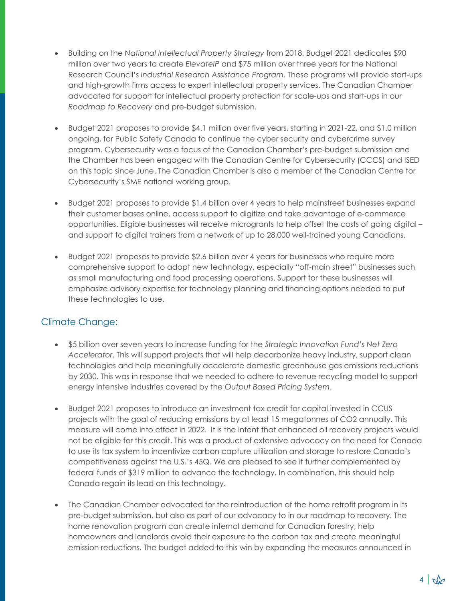- Building on the *National Intellectual Property Strategy* from 2018, Budget 2021 dedicates \$90 million over two years to create *ElevateIP* and \$75 million over three years for the National Research Council's *Industrial Research Assistance Program*. These programs will provide start-ups and high-growth firms access to expert intellectual property services. The Canadian Chamber advocated for support for intellectual property protection for scale-ups and start-ups in our *Roadmap to Recovery* and pre-budget submission.
- Budget 2021 proposes to provide \$4.1 million over five years, starting in 2021-22, and \$1.0 million ongoing, for Public Safety Canada to continue the cyber security and cybercrime survey program. Cybersecurity was a focus of the Canadian Chamber's pre-budget submission and the Chamber has been engaged with the Canadian Centre for Cybersecurity (CCCS) and ISED on this topic since June. The Canadian Chamber is also a member of the Canadian Centre for Cybersecurity's SME national working group.
- Budget 2021 proposes to provide \$1.4 billion over 4 years to help mainstreet businesses expand their customer bases online, access support to digitize and take advantage of e-commerce opportunities. Eligible businesses will receive microgrants to help offset the costs of going digital – and support to digital trainers from a network of up to 28,000 well-trained young Canadians.
- Budget 2021 proposes to provide \$2.6 billion over 4 years for businesses who require more comprehensive support to adopt new technology, especially "off-main street" businesses such as small manufacturing and food processing operations. Support for these businesses will emphasize advisory expertise for technology planning and financing options needed to put these technologies to use.

### Climate Change:

- \$5 billion over seven years to increase funding for the *Strategic Innovation Fund's Net Zero Accelerator*. This will support projects that will help decarbonize heavy industry, support clean technologies and help meaningfully accelerate domestic greenhouse gas emissions reductions by 2030. This was in response that we needed to adhere to revenue recycling model to support energy intensive industries covered by the *Output Based Pricing System*.
- Budget 2021 proposes to introduce an investment tax credit for capital invested in CCUS projects with the goal of reducing emissions by at least 15 megatonnes of CO2 annually. This measure will come into effect in 2022. It is the intent that enhanced oil recovery projects would not be eligible for this credit. This was a product of extensive advocacy on the need for Canada to use its tax system to incentivize carbon capture utilization and storage to restore Canada's competitiveness against the U.S.'s 45Q. We are pleased to see it further complemented by federal funds of \$319 million to advance the technology. In combination, this should help Canada regain its lead on this technology.
- The Canadian Chamber advocated for the reintroduction of the home retrofit program in its pre-budget submission, but also as part of our advocacy to in our roadmap to recovery. The home renovation program can create internal demand for Canadian forestry, help homeowners and landlords avoid their exposure to the carbon tax and create meaningful emission reductions. The budget added to this win by expanding the measures announced in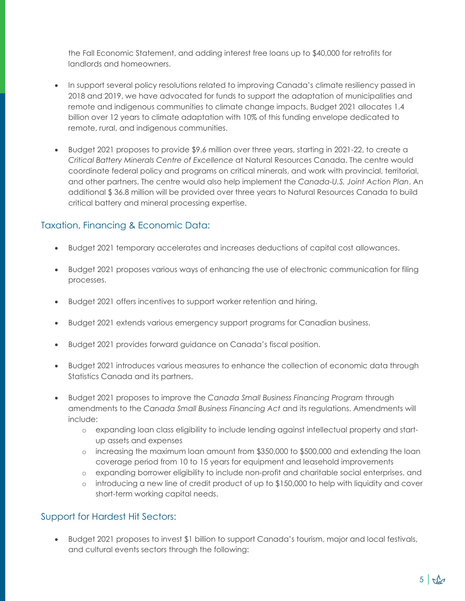the Fall Economic Statement, and adding interest free loans up to \$40,000 for retrofits for landlords and homeowners.

- In support several policy resolutions related to improving Canada's climate resiliency passed in 2018 and 2019, we have advocated for funds to support the adaptation of municipalities and remote and indigenous communities to climate change impacts. Budget 2021 allocates 1.4 billion over 12 years to climate adaptation with 10% of this funding envelope dedicated to remote, rural, and indigenous communities.
- Budget 2021 proposes to provide \$9.6 million over three years, starting in 2021-22, to create a *Critical Battery Minerals Centre of Excellence* at Natural Resources Canada. The centre would coordinate federal policy and programs on critical minerals, and work with provincial, territorial, and other partners. The centre would also help implement the *Canada-U.S. Joint Action Plan*. An additional \$ 36.8 million will be provided over three years to Natural Resources Canada to build critical battery and mineral processing expertise.

#### Taxation, Financing & Economic Data:

- Budget 2021 temporary accelerates and increases deductions of capital cost allowances.
- Budget 2021 proposes various ways of enhancing the use of electronic communication for filing processes.
- Budget 2021 offers incentives to support worker retention and hiring.
- Budget 2021 extends various emergency support programs for Canadian business.
- Budget 2021 provides forward guidance on Canada's fiscal position.
- Budget 2021 introduces various measures to enhance the collection of economic data through Statistics Canada and its partners.
- Budget 2021 proposes to improve the *Canada Small Business Financing Program* through amendments to the *Canada Small Business Financing Act* and its regulations. Amendments will include:
	- o expanding loan class eligibility to include lending against intellectual property and startup assets and expenses
	- o increasing the maximum loan amount from \$350,000 to \$500,000 and extending the loan coverage period from 10 to 15 years for equipment and leasehold improvements
	- o expanding borrower eligibility to include non-profit and charitable social enterprises, and
	- $\circ$  introducing a new line of credit product of up to \$150,000 to help with liquidity and cover short-term working capital needs.

### Support for Hardest Hit Sectors:

• Budget 2021 proposes to invest \$1 billion to support Canada's tourism, major and local festivals, and cultural events sectors through the following: